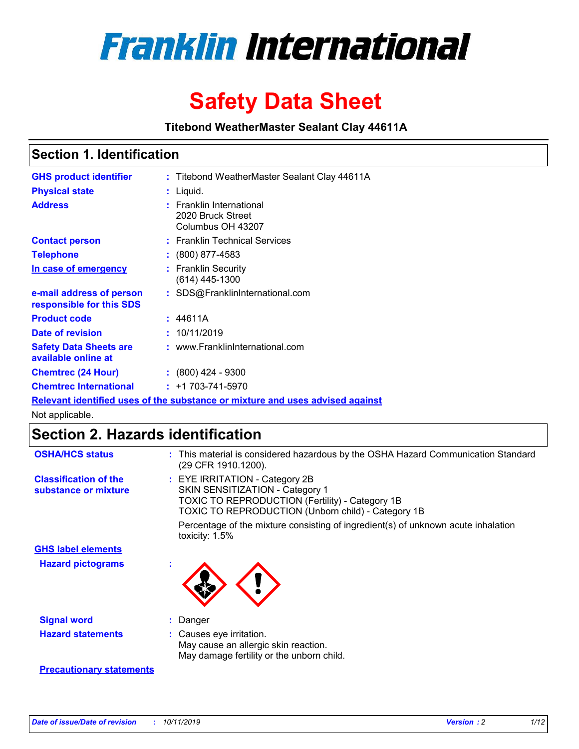

# **Safety Data Sheet**

**Titebond WeatherMaster Sealant Clay 44611A**

### **Section 1. Identification**

| <b>GHS product identifier</b>                        | : Titebond WeatherMaster Sealant Clay 44611A                                  |
|------------------------------------------------------|-------------------------------------------------------------------------------|
| <b>Physical state</b>                                | : Liquid.                                                                     |
| <b>Address</b>                                       | : Franklin International<br>2020 Bruck Street<br>Columbus OH 43207            |
| <b>Contact person</b>                                | : Franklin Technical Services                                                 |
| <b>Telephone</b>                                     | $\colon$ (800) 877-4583                                                       |
| In case of emergency                                 | : Franklin Security<br>(614) 445-1300                                         |
| e-mail address of person<br>responsible for this SDS | : SDS@FranklinInternational.com                                               |
| <b>Product code</b>                                  | : 44611A                                                                      |
| Date of revision                                     | : 10/11/2019                                                                  |
| <b>Safety Data Sheets are</b><br>available online at | : www.FranklinInternational.com                                               |
| <b>Chemtrec (24 Hour)</b>                            | $: (800)$ 424 - 9300                                                          |
| <b>Chemtrec International</b>                        | $: +1703 - 741 - 5970$                                                        |
|                                                      | Relevant identified uses of the substance or mixture and uses advised against |

Not applicable.

## **Section 2. Hazards identification**

| <b>OSHA/HCS status</b>                               | : This material is considered hazardous by the OSHA Hazard Communication Standard<br>(29 CFR 1910.1200).                                                                                 |
|------------------------------------------------------|------------------------------------------------------------------------------------------------------------------------------------------------------------------------------------------|
| <b>Classification of the</b><br>substance or mixture | : EYE IRRITATION - Category 2B<br>SKIN SENSITIZATION - Category 1<br><b>TOXIC TO REPRODUCTION (Fertility) - Category 1B</b><br><b>TOXIC TO REPRODUCTION (Unborn child) - Category 1B</b> |
|                                                      | Percentage of the mixture consisting of ingredient(s) of unknown acute inhalation<br>toxicity: $1.5\%$                                                                                   |
| <b>GHS label elements</b>                            |                                                                                                                                                                                          |
| <b>Hazard pictograms</b>                             |                                                                                                                                                                                          |
| <b>Signal word</b>                                   | : Danger                                                                                                                                                                                 |
| <b>Hazard statements</b>                             | : Causes eye irritation.<br>May cause an allergic skin reaction.<br>May damage fertility or the unborn child.                                                                            |
| <b>Precautionary statements</b>                      |                                                                                                                                                                                          |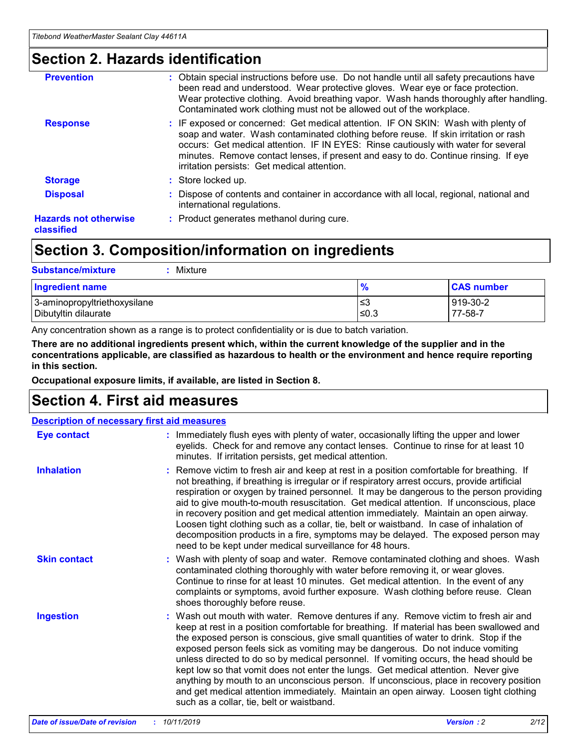### **Section 2. Hazards identification**

| <b>Prevention</b>                          | : Obtain special instructions before use. Do not handle until all safety precautions have<br>been read and understood. Wear protective gloves. Wear eye or face protection.<br>Wear protective clothing. Avoid breathing vapor. Wash hands thoroughly after handling.<br>Contaminated work clothing must not be allowed out of the workplace.                                                        |
|--------------------------------------------|------------------------------------------------------------------------------------------------------------------------------------------------------------------------------------------------------------------------------------------------------------------------------------------------------------------------------------------------------------------------------------------------------|
| <b>Response</b>                            | : IF exposed or concerned: Get medical attention. IF ON SKIN: Wash with plenty of<br>soap and water. Wash contaminated clothing before reuse. If skin irritation or rash<br>occurs: Get medical attention. IF IN EYES: Rinse cautiously with water for several<br>minutes. Remove contact lenses, if present and easy to do. Continue rinsing. If eye<br>irritation persists: Get medical attention. |
| <b>Storage</b>                             | : Store locked up.                                                                                                                                                                                                                                                                                                                                                                                   |
| <b>Disposal</b>                            | : Dispose of contents and container in accordance with all local, regional, national and<br>international regulations.                                                                                                                                                                                                                                                                               |
| <b>Hazards not otherwise</b><br>classified | : Product generates methanol during cure.                                                                                                                                                                                                                                                                                                                                                            |
|                                            |                                                                                                                                                                                                                                                                                                                                                                                                      |

### **Section 3. Composition/information on ingredients**

| <b>Substance/mixture</b><br>: Mixture                |               |                     |
|------------------------------------------------------|---------------|---------------------|
| Ingredient name                                      | $\frac{9}{6}$ | <b>CAS number</b>   |
| 3-aminopropyltriethoxysilane<br>Dibutyltin dilaurate | צ≥<br>≤0.3    | 919-30-2<br>77-58-7 |

Any concentration shown as a range is to protect confidentiality or is due to batch variation.

**There are no additional ingredients present which, within the current knowledge of the supplier and in the concentrations applicable, are classified as hazardous to health or the environment and hence require reporting in this section.**

**Occupational exposure limits, if available, are listed in Section 8.**

### **Section 4. First aid measures**

| <b>Description of necessary first aid measures</b> |                                                                                                                                                                                                                                                                                                                                                                                                                                                                                                                                                                                                                                                                                                                                                                           |  |  |  |
|----------------------------------------------------|---------------------------------------------------------------------------------------------------------------------------------------------------------------------------------------------------------------------------------------------------------------------------------------------------------------------------------------------------------------------------------------------------------------------------------------------------------------------------------------------------------------------------------------------------------------------------------------------------------------------------------------------------------------------------------------------------------------------------------------------------------------------------|--|--|--|
| <b>Eye contact</b>                                 | : Immediately flush eyes with plenty of water, occasionally lifting the upper and lower<br>eyelids. Check for and remove any contact lenses. Continue to rinse for at least 10<br>minutes. If irritation persists, get medical attention.                                                                                                                                                                                                                                                                                                                                                                                                                                                                                                                                 |  |  |  |
| <b>Inhalation</b>                                  | : Remove victim to fresh air and keep at rest in a position comfortable for breathing. If<br>not breathing, if breathing is irregular or if respiratory arrest occurs, provide artificial<br>respiration or oxygen by trained personnel. It may be dangerous to the person providing<br>aid to give mouth-to-mouth resuscitation. Get medical attention. If unconscious, place<br>in recovery position and get medical attention immediately. Maintain an open airway.<br>Loosen tight clothing such as a collar, tie, belt or waistband. In case of inhalation of<br>decomposition products in a fire, symptoms may be delayed. The exposed person may<br>need to be kept under medical surveillance for 48 hours.                                                       |  |  |  |
| <b>Skin contact</b>                                | : Wash with plenty of soap and water. Remove contaminated clothing and shoes. Wash<br>contaminated clothing thoroughly with water before removing it, or wear gloves.<br>Continue to rinse for at least 10 minutes. Get medical attention. In the event of any<br>complaints or symptoms, avoid further exposure. Wash clothing before reuse. Clean<br>shoes thoroughly before reuse.                                                                                                                                                                                                                                                                                                                                                                                     |  |  |  |
| <b>Ingestion</b>                                   | : Wash out mouth with water. Remove dentures if any. Remove victim to fresh air and<br>keep at rest in a position comfortable for breathing. If material has been swallowed and<br>the exposed person is conscious, give small quantities of water to drink. Stop if the<br>exposed person feels sick as vomiting may be dangerous. Do not induce vomiting<br>unless directed to do so by medical personnel. If vomiting occurs, the head should be<br>kept low so that vomit does not enter the lungs. Get medical attention. Never give<br>anything by mouth to an unconscious person. If unconscious, place in recovery position<br>and get medical attention immediately. Maintain an open airway. Loosen tight clothing<br>such as a collar, tie, belt or waistband. |  |  |  |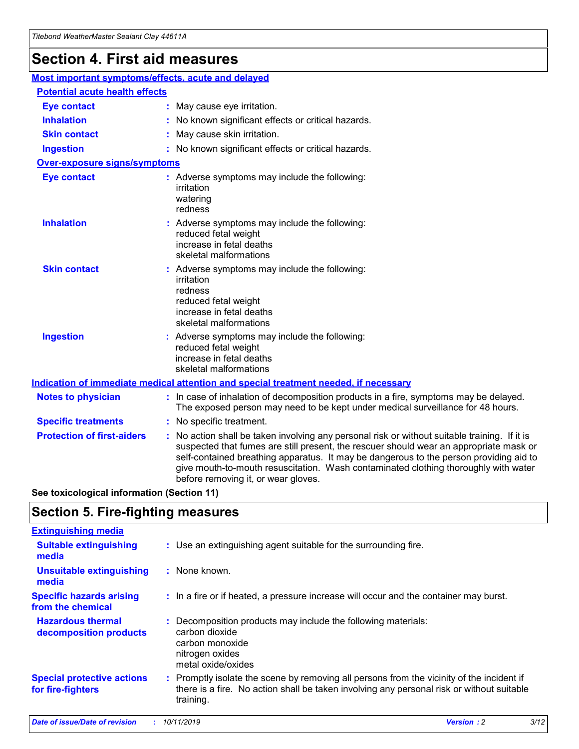## **Section 4. First aid measures**

| Most important symptoms/effects, acute and delayed |                                       |                                                                                                                                                                                                                                                                                                                                                                                                                 |  |  |
|----------------------------------------------------|---------------------------------------|-----------------------------------------------------------------------------------------------------------------------------------------------------------------------------------------------------------------------------------------------------------------------------------------------------------------------------------------------------------------------------------------------------------------|--|--|
|                                                    | <b>Potential acute health effects</b> |                                                                                                                                                                                                                                                                                                                                                                                                                 |  |  |
| <b>Eye contact</b>                                 |                                       | : May cause eye irritation.                                                                                                                                                                                                                                                                                                                                                                                     |  |  |
| <b>Inhalation</b>                                  |                                       | : No known significant effects or critical hazards.                                                                                                                                                                                                                                                                                                                                                             |  |  |
| <b>Skin contact</b>                                |                                       | : May cause skin irritation.                                                                                                                                                                                                                                                                                                                                                                                    |  |  |
| <b>Ingestion</b>                                   |                                       | : No known significant effects or critical hazards.                                                                                                                                                                                                                                                                                                                                                             |  |  |
| <b>Over-exposure signs/symptoms</b>                |                                       |                                                                                                                                                                                                                                                                                                                                                                                                                 |  |  |
| <b>Eye contact</b>                                 |                                       | : Adverse symptoms may include the following:<br>irritation<br>watering<br>redness                                                                                                                                                                                                                                                                                                                              |  |  |
| <b>Inhalation</b>                                  |                                       | : Adverse symptoms may include the following:<br>reduced fetal weight<br>increase in fetal deaths<br>skeletal malformations                                                                                                                                                                                                                                                                                     |  |  |
| <b>Skin contact</b>                                |                                       | : Adverse symptoms may include the following:<br>irritation<br>redness<br>reduced fetal weight<br>increase in fetal deaths<br>skeletal malformations                                                                                                                                                                                                                                                            |  |  |
| <b>Ingestion</b>                                   |                                       | : Adverse symptoms may include the following:<br>reduced fetal weight<br>increase in fetal deaths<br>skeletal malformations                                                                                                                                                                                                                                                                                     |  |  |
|                                                    |                                       | <b>Indication of immediate medical attention and special treatment needed, if necessary</b>                                                                                                                                                                                                                                                                                                                     |  |  |
| <b>Notes to physician</b>                          |                                       | : In case of inhalation of decomposition products in a fire, symptoms may be delayed.<br>The exposed person may need to be kept under medical surveillance for 48 hours.                                                                                                                                                                                                                                        |  |  |
| <b>Specific treatments</b>                         |                                       | : No specific treatment.                                                                                                                                                                                                                                                                                                                                                                                        |  |  |
| <b>Protection of first-aiders</b>                  |                                       | : No action shall be taken involving any personal risk or without suitable training. If it is<br>suspected that fumes are still present, the rescuer should wear an appropriate mask or<br>self-contained breathing apparatus. It may be dangerous to the person providing aid to<br>give mouth-to-mouth resuscitation. Wash contaminated clothing thoroughly with water<br>before removing it, or wear gloves. |  |  |

**See toxicological information (Section 11)**

### **Section 5. Fire-fighting measures**

| <b>Extinguishing media</b>                             |                                                                                                                                                                                                     |
|--------------------------------------------------------|-----------------------------------------------------------------------------------------------------------------------------------------------------------------------------------------------------|
| <b>Suitable extinguishing</b><br>media                 | : Use an extinguishing agent suitable for the surrounding fire.                                                                                                                                     |
| <b>Unsuitable extinguishing</b><br>media               | $:$ None known.                                                                                                                                                                                     |
| <b>Specific hazards arising</b><br>from the chemical   | : In a fire or if heated, a pressure increase will occur and the container may burst.                                                                                                               |
| <b>Hazardous thermal</b><br>decomposition products     | : Decomposition products may include the following materials:<br>carbon dioxide<br>carbon monoxide<br>nitrogen oxides<br>metal oxide/oxides                                                         |
| <b>Special protective actions</b><br>for fire-fighters | : Promptly isolate the scene by removing all persons from the vicinity of the incident if<br>there is a fire. No action shall be taken involving any personal risk or without suitable<br>training. |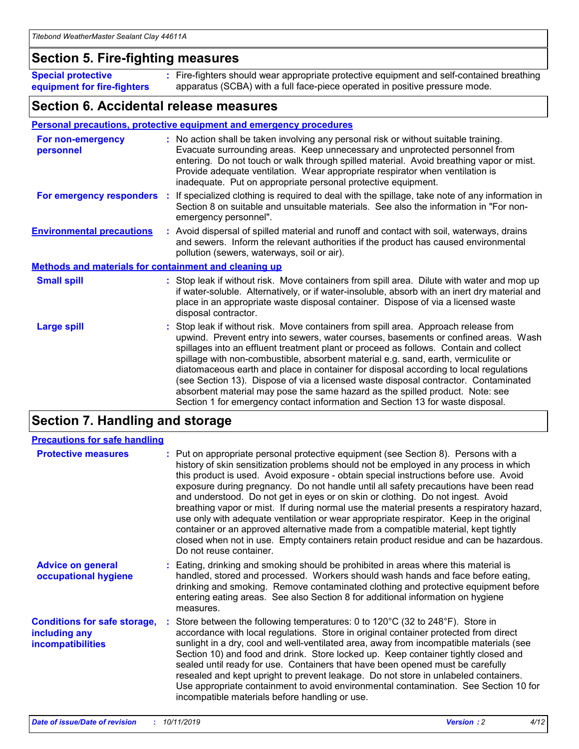### **Section 5. Fire-fighting measures**

**Special protective equipment for fire-fighters** Fire-fighters should wear appropriate protective equipment and self-contained breathing **:** apparatus (SCBA) with a full face-piece operated in positive pressure mode.

### **Section 6. Accidental release measures**

#### **Personal precautions, protective equipment and emergency procedures**

| For non-emergency<br>personnel                               | : No action shall be taken involving any personal risk or without suitable training.<br>Evacuate surrounding areas. Keep unnecessary and unprotected personnel from<br>entering. Do not touch or walk through spilled material. Avoid breathing vapor or mist.<br>Provide adequate ventilation. Wear appropriate respirator when ventilation is<br>inadequate. Put on appropriate personal protective equipment.                                                                                                                                                                                                                                                                                             |
|--------------------------------------------------------------|--------------------------------------------------------------------------------------------------------------------------------------------------------------------------------------------------------------------------------------------------------------------------------------------------------------------------------------------------------------------------------------------------------------------------------------------------------------------------------------------------------------------------------------------------------------------------------------------------------------------------------------------------------------------------------------------------------------|
| For emergency responders                                     | : If specialized clothing is required to deal with the spillage, take note of any information in<br>Section 8 on suitable and unsuitable materials. See also the information in "For non-<br>emergency personnel".                                                                                                                                                                                                                                                                                                                                                                                                                                                                                           |
| <b>Environmental precautions</b>                             | : Avoid dispersal of spilled material and runoff and contact with soil, waterways, drains<br>and sewers. Inform the relevant authorities if the product has caused environmental<br>pollution (sewers, waterways, soil or air).                                                                                                                                                                                                                                                                                                                                                                                                                                                                              |
| <b>Methods and materials for containment and cleaning up</b> |                                                                                                                                                                                                                                                                                                                                                                                                                                                                                                                                                                                                                                                                                                              |
| <b>Small spill</b>                                           | : Stop leak if without risk. Move containers from spill area. Dilute with water and mop up<br>if water-soluble. Alternatively, or if water-insoluble, absorb with an inert dry material and<br>place in an appropriate waste disposal container. Dispose of via a licensed waste<br>disposal contractor.                                                                                                                                                                                                                                                                                                                                                                                                     |
| <b>Large spill</b>                                           | : Stop leak if without risk. Move containers from spill area. Approach release from<br>upwind. Prevent entry into sewers, water courses, basements or confined areas. Wash<br>spillages into an effluent treatment plant or proceed as follows. Contain and collect<br>spillage with non-combustible, absorbent material e.g. sand, earth, vermiculite or<br>diatomaceous earth and place in container for disposal according to local regulations<br>(see Section 13). Dispose of via a licensed waste disposal contractor. Contaminated<br>absorbent material may pose the same hazard as the spilled product. Note: see<br>Section 1 for emergency contact information and Section 13 for waste disposal. |

### **Section 7. Handling and storage**

| <b>Precautions for safe handling</b>                                             |                                                                                                                                                                                                                                                                                                                                                                                                                                                                                                                                                                                                                                                                                                                                                                                                                                                  |
|----------------------------------------------------------------------------------|--------------------------------------------------------------------------------------------------------------------------------------------------------------------------------------------------------------------------------------------------------------------------------------------------------------------------------------------------------------------------------------------------------------------------------------------------------------------------------------------------------------------------------------------------------------------------------------------------------------------------------------------------------------------------------------------------------------------------------------------------------------------------------------------------------------------------------------------------|
| <b>Protective measures</b>                                                       | : Put on appropriate personal protective equipment (see Section 8). Persons with a<br>history of skin sensitization problems should not be employed in any process in which<br>this product is used. Avoid exposure - obtain special instructions before use. Avoid<br>exposure during pregnancy. Do not handle until all safety precautions have been read<br>and understood. Do not get in eyes or on skin or clothing. Do not ingest. Avoid<br>breathing vapor or mist. If during normal use the material presents a respiratory hazard,<br>use only with adequate ventilation or wear appropriate respirator. Keep in the original<br>container or an approved alternative made from a compatible material, kept tightly<br>closed when not in use. Empty containers retain product residue and can be hazardous.<br>Do not reuse container. |
| <b>Advice on general</b><br>occupational hygiene                                 | : Eating, drinking and smoking should be prohibited in areas where this material is<br>handled, stored and processed. Workers should wash hands and face before eating,<br>drinking and smoking. Remove contaminated clothing and protective equipment before<br>entering eating areas. See also Section 8 for additional information on hygiene<br>measures.                                                                                                                                                                                                                                                                                                                                                                                                                                                                                    |
| <b>Conditions for safe storage,</b><br>including any<br><b>incompatibilities</b> | Store between the following temperatures: 0 to 120°C (32 to 248°F). Store in<br>accordance with local regulations. Store in original container protected from direct<br>sunlight in a dry, cool and well-ventilated area, away from incompatible materials (see<br>Section 10) and food and drink. Store locked up. Keep container tightly closed and<br>sealed until ready for use. Containers that have been opened must be carefully<br>resealed and kept upright to prevent leakage. Do not store in unlabeled containers.<br>Use appropriate containment to avoid environmental contamination. See Section 10 for<br>incompatible materials before handling or use.                                                                                                                                                                         |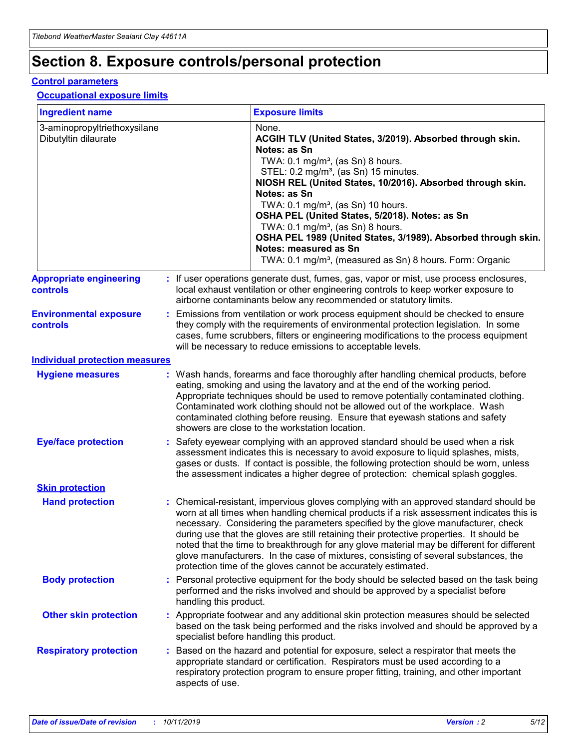## **Section 8. Exposure controls/personal protection**

#### **Control parameters**

#### **Occupational exposure limits**

| <b>Ingredient name</b>                               |    |                        | <b>Exposure limits</b>                                                                                                                                                                                                                                                                                                                                                                                                                                                                                                                                                                                                 |
|------------------------------------------------------|----|------------------------|------------------------------------------------------------------------------------------------------------------------------------------------------------------------------------------------------------------------------------------------------------------------------------------------------------------------------------------------------------------------------------------------------------------------------------------------------------------------------------------------------------------------------------------------------------------------------------------------------------------------|
| 3-aminopropyltriethoxysilane<br>Dibutyltin dilaurate |    |                        | None.<br>ACGIH TLV (United States, 3/2019). Absorbed through skin.<br>Notes: as Sn<br>TWA: $0.1 \text{ mg/m}^3$ , (as Sn) 8 hours.<br>STEL: 0.2 mg/m <sup>3</sup> , (as Sn) 15 minutes.<br>NIOSH REL (United States, 10/2016). Absorbed through skin.<br>Notes: as Sn<br>TWA: 0.1 mg/m <sup>3</sup> , (as Sn) 10 hours.<br>OSHA PEL (United States, 5/2018). Notes: as Sn<br>TWA: 0.1 mg/m <sup>3</sup> , (as Sn) 8 hours.<br>OSHA PEL 1989 (United States, 3/1989). Absorbed through skin.<br>Notes: measured as Sn<br>TWA: 0.1 mg/m <sup>3</sup> , (measured as Sn) 8 hours. Form: Organic                           |
| <b>Appropriate engineering</b><br>controls           |    |                        | : If user operations generate dust, fumes, gas, vapor or mist, use process enclosures,<br>local exhaust ventilation or other engineering controls to keep worker exposure to<br>airborne contaminants below any recommended or statutory limits.                                                                                                                                                                                                                                                                                                                                                                       |
| <b>Environmental exposure</b><br>controls            |    |                        | Emissions from ventilation or work process equipment should be checked to ensure<br>they comply with the requirements of environmental protection legislation. In some<br>cases, fume scrubbers, filters or engineering modifications to the process equipment<br>will be necessary to reduce emissions to acceptable levels.                                                                                                                                                                                                                                                                                          |
| <b>Individual protection measures</b>                |    |                        |                                                                                                                                                                                                                                                                                                                                                                                                                                                                                                                                                                                                                        |
| <b>Hygiene measures</b>                              |    |                        | : Wash hands, forearms and face thoroughly after handling chemical products, before<br>eating, smoking and using the lavatory and at the end of the working period.<br>Appropriate techniques should be used to remove potentially contaminated clothing.<br>Contaminated work clothing should not be allowed out of the workplace. Wash<br>contaminated clothing before reusing. Ensure that eyewash stations and safety<br>showers are close to the workstation location.                                                                                                                                            |
| <b>Eye/face protection</b>                           |    |                        | Safety eyewear complying with an approved standard should be used when a risk<br>assessment indicates this is necessary to avoid exposure to liquid splashes, mists,<br>gases or dusts. If contact is possible, the following protection should be worn, unless<br>the assessment indicates a higher degree of protection: chemical splash goggles.                                                                                                                                                                                                                                                                    |
| <b>Skin protection</b>                               |    |                        |                                                                                                                                                                                                                                                                                                                                                                                                                                                                                                                                                                                                                        |
| <b>Hand protection</b>                               |    |                        | : Chemical-resistant, impervious gloves complying with an approved standard should be<br>worn at all times when handling chemical products if a risk assessment indicates this is<br>necessary. Considering the parameters specified by the glove manufacturer, check<br>during use that the gloves are still retaining their protective properties. It should be<br>noted that the time to breakthrough for any glove material may be different for different<br>glove manufacturers. In the case of mixtures, consisting of several substances, the<br>protection time of the gloves cannot be accurately estimated. |
| <b>Body protection</b>                               |    | handling this product. | Personal protective equipment for the body should be selected based on the task being<br>performed and the risks involved and should be approved by a specialist before                                                                                                                                                                                                                                                                                                                                                                                                                                                |
| <b>Other skin protection</b>                         |    |                        | : Appropriate footwear and any additional skin protection measures should be selected<br>based on the task being performed and the risks involved and should be approved by a<br>specialist before handling this product.                                                                                                                                                                                                                                                                                                                                                                                              |
| <b>Respiratory protection</b>                        | ÷. | aspects of use.        | Based on the hazard and potential for exposure, select a respirator that meets the<br>appropriate standard or certification. Respirators must be used according to a<br>respiratory protection program to ensure proper fitting, training, and other important                                                                                                                                                                                                                                                                                                                                                         |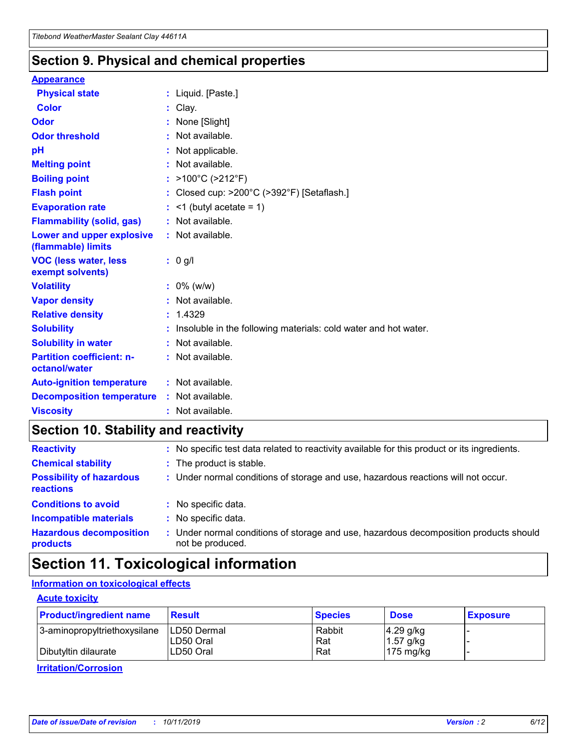### **Section 9. Physical and chemical properties**

#### **Appearance**

| <b>Physical state</b>                             | : Liquid. [Paste.]                                                |
|---------------------------------------------------|-------------------------------------------------------------------|
| Color                                             | Clay.                                                             |
| Odor                                              | None [Slight]                                                     |
| <b>Odor threshold</b>                             | : Not available.                                                  |
| рH                                                | : Not applicable.                                                 |
| <b>Melting point</b>                              | : Not available.                                                  |
| <b>Boiling point</b>                              | : $>100^{\circ}$ C ( $>212^{\circ}$ F)                            |
| <b>Flash point</b>                                | : Closed cup: $>200^{\circ}$ C ( $>392^{\circ}$ F) [Setaflash.]   |
| <b>Evaporation rate</b>                           | $:$ <1 (butyl acetate = 1)                                        |
| <b>Flammability (solid, gas)</b>                  | : Not available.                                                  |
| Lower and upper explosive<br>(flammable) limits   | : Not available.                                                  |
| <b>VOC (less water, less</b><br>exempt solvents)  | $: 0$ g/l                                                         |
| <b>Volatility</b>                                 | $: 0\%$ (w/w)                                                     |
| <b>Vapor density</b>                              | : Not available.                                                  |
| <b>Relative density</b>                           | : 1.4329                                                          |
| <b>Solubility</b>                                 | : Insoluble in the following materials: cold water and hot water. |
| <b>Solubility in water</b>                        | : Not available.                                                  |
| <b>Partition coefficient: n-</b><br>octanol/water | : Not available.                                                  |
| <b>Auto-ignition temperature</b>                  | $:$ Not available.                                                |
| <b>Decomposition temperature</b>                  | : Not available.                                                  |
| <b>Viscosity</b>                                  | : Not available.                                                  |

### **Section 10. Stability and reactivity**

| <b>Reactivity</b>                            |    | : No specific test data related to reactivity available for this product or its ingredients.            |
|----------------------------------------------|----|---------------------------------------------------------------------------------------------------------|
| <b>Chemical stability</b>                    |    | : The product is stable.                                                                                |
| <b>Possibility of hazardous</b><br>reactions |    | : Under normal conditions of storage and use, hazardous reactions will not occur.                       |
| <b>Conditions to avoid</b>                   |    | : No specific data.                                                                                     |
| <b>Incompatible materials</b>                | ٠. | No specific data.                                                                                       |
| <b>Hazardous decomposition</b><br>products   | ÷. | Under normal conditions of storage and use, hazardous decomposition products should<br>not be produced. |

### **Section 11. Toxicological information**

### **Information on toxicological effects**

#### **Acute toxicity**

| <b>Product/ingredient name</b> | <b>Result</b>           | <b>Species</b> | <b>Dose</b>                | <b>Exposure</b> |
|--------------------------------|-------------------------|----------------|----------------------------|-----------------|
| 3-aminopropyltriethoxysilane   | <b>ILD50 Dermal</b>     | Rabbit         | 4.29 g/kg                  |                 |
| Dibutyltin dilaurate           | ILD50 Oral<br>LD50 Oral | Rat<br>Rat     | $1.57$ g/kg<br>175 $mg/kg$ |                 |
|                                |                         |                |                            |                 |

**Irritation/Corrosion**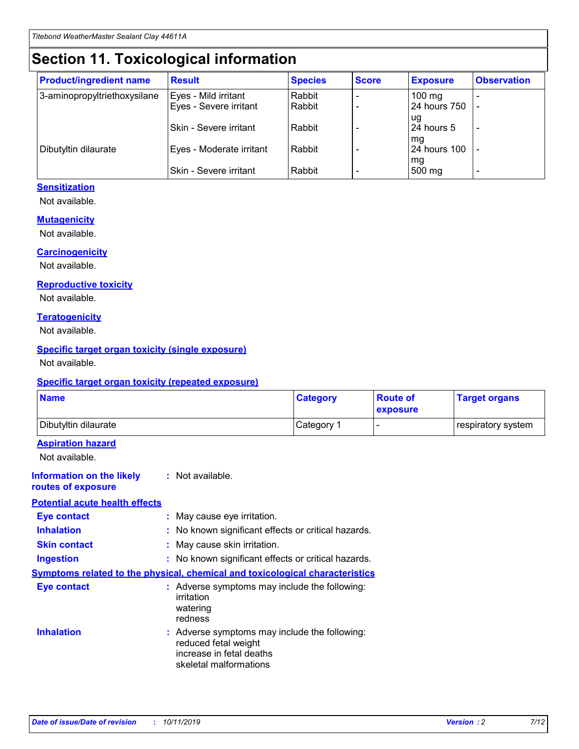## **Section 11. Toxicological information**

| <b>Product/ingredient name</b> | <b>Result</b>            | <b>Species</b> | <b>Score</b> | <b>Exposure</b>     | <b>Observation</b> |
|--------------------------------|--------------------------|----------------|--------------|---------------------|--------------------|
| 3-aminopropyltriethoxysilane   | Eyes - Mild irritant     | Rabbit         |              | $100 \text{ mg}$    |                    |
|                                | Eyes - Severe irritant   | Rabbit         |              | 24 hours 750        |                    |
|                                |                          |                |              | ug                  |                    |
|                                | Skin - Severe irritant   | Rabbit         |              | 24 hours 5          |                    |
|                                |                          |                |              | mq                  |                    |
| Dibutyltin dilaurate           | Eyes - Moderate irritant | Rabbit         |              | <b>24 hours 100</b> |                    |
|                                | Skin - Severe irritant   | Rabbit         |              | mg<br>500 mg        |                    |
|                                |                          |                |              |                     |                    |

#### **Sensitization**

Not available.

#### **Mutagenicity**

Not available.

#### **Carcinogenicity**

Not available.

#### **Reproductive toxicity**

Not available.

#### **Teratogenicity**

Not available.

#### **Specific target organ toxicity (single exposure)**

Not available.

#### **Specific target organ toxicity (repeated exposure)**

| <b>Name</b>                                                                  |                                                                                                                             | <b>Category</b> | <b>Route of</b><br>exposure | <b>Target organs</b> |
|------------------------------------------------------------------------------|-----------------------------------------------------------------------------------------------------------------------------|-----------------|-----------------------------|----------------------|
| Dibutyltin dilaurate                                                         |                                                                                                                             | Category 1      |                             | respiratory system   |
| <b>Aspiration hazard</b><br>Not available.                                   |                                                                                                                             |                 |                             |                      |
| <b>Information on the likely</b><br>routes of exposure                       | : Not available.                                                                                                            |                 |                             |                      |
| <b>Potential acute health effects</b>                                        |                                                                                                                             |                 |                             |                      |
| <b>Eye contact</b>                                                           | : May cause eye irritation.                                                                                                 |                 |                             |                      |
| <b>Inhalation</b>                                                            | : No known significant effects or critical hazards.                                                                         |                 |                             |                      |
| <b>Skin contact</b>                                                          | : May cause skin irritation.                                                                                                |                 |                             |                      |
| <b>Ingestion</b>                                                             | : No known significant effects or critical hazards.                                                                         |                 |                             |                      |
| Symptoms related to the physical, chemical and toxicological characteristics |                                                                                                                             |                 |                             |                      |
| <b>Eye contact</b>                                                           | : Adverse symptoms may include the following:<br>irritation<br>watering<br>redness                                          |                 |                             |                      |
| <b>Inhalation</b>                                                            | : Adverse symptoms may include the following:<br>reduced fetal weight<br>increase in fetal deaths<br>skeletal malformations |                 |                             |                      |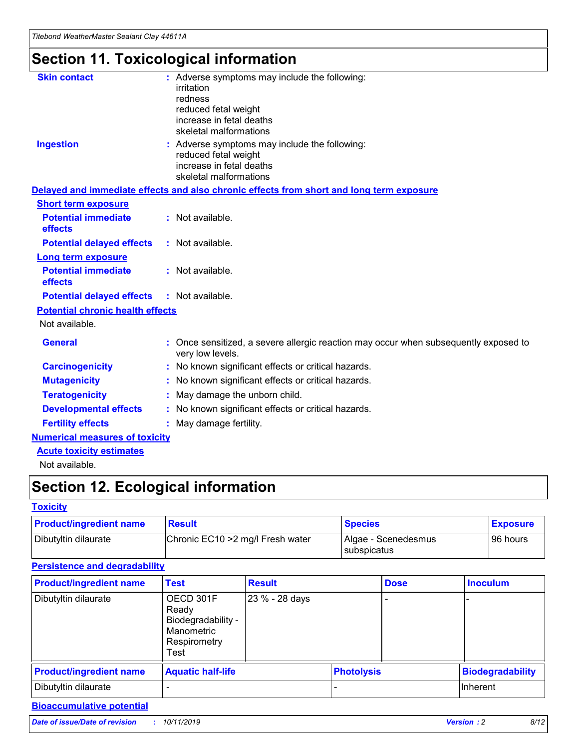## **Section 11. Toxicological information**

| <b>Skin contact</b>                     | : Adverse symptoms may include the following:<br>irritation<br>redness<br>reduced fetal weight<br>increase in fetal deaths<br>skeletal malformations |
|-----------------------------------------|------------------------------------------------------------------------------------------------------------------------------------------------------|
| <b>Ingestion</b>                        | : Adverse symptoms may include the following:<br>reduced fetal weight<br>increase in fetal deaths<br>skeletal malformations                          |
|                                         | Delayed and immediate effects and also chronic effects from short and long term exposure                                                             |
| <b>Short term exposure</b>              |                                                                                                                                                      |
| <b>Potential immediate</b><br>effects   | : Not available.                                                                                                                                     |
| <b>Potential delayed effects</b>        | : Not available.                                                                                                                                     |
| <b>Long term exposure</b>               |                                                                                                                                                      |
| <b>Potential immediate</b><br>effects   | : Not available.                                                                                                                                     |
| <b>Potential delayed effects</b>        | : Not available.                                                                                                                                     |
| <b>Potential chronic health effects</b> |                                                                                                                                                      |
| Not available.                          |                                                                                                                                                      |
| <b>General</b>                          | : Once sensitized, a severe allergic reaction may occur when subsequently exposed to<br>very low levels.                                             |
| <b>Carcinogenicity</b>                  | : No known significant effects or critical hazards.                                                                                                  |
| <b>Mutagenicity</b>                     | No known significant effects or critical hazards.                                                                                                    |
| <b>Teratogenicity</b>                   | May damage the unborn child.                                                                                                                         |
| <b>Developmental effects</b>            | No known significant effects or critical hazards.                                                                                                    |
| <b>Fertility effects</b>                | : May damage fertility.                                                                                                                              |
| <b>Numerical measures of toxicity</b>   |                                                                                                                                                      |
| <b>Acute toxicity estimates</b>         |                                                                                                                                                      |
|                                         |                                                                                                                                                      |

Not available.

## **Section 12. Ecological information**

#### **Toxicity**

| <b>Product/ingredient name</b> | <b>Result</b>                     | <b>Species</b>                       | <b>Exposure</b> |
|--------------------------------|-----------------------------------|--------------------------------------|-----------------|
| Dibutyltin dilaurate           | Chronic EC10 > 2 mg/l Fresh water | Algae - Scenedesmus<br>I subspicatus | l 96 hours i    |

### **Persistence and degradability**

| <b>Product/ingredient name</b> | <b>Test</b>                                                                    | <b>Result</b>  |                   | <b>Dose</b> | <b>Inoculum</b>         |
|--------------------------------|--------------------------------------------------------------------------------|----------------|-------------------|-------------|-------------------------|
| Dibutyltin dilaurate           | OECD 301F<br>Ready<br>Biodegradability -<br>Manometric<br>Respirometry<br>Test | 23 % - 28 days |                   |             |                         |
| <b>Product/ingredient name</b> | <b>Aquatic half-life</b>                                                       |                | <b>Photolysis</b> |             | <b>Biodegradability</b> |
| Dibutyltin dilaurate           |                                                                                |                |                   |             | Inherent                |

### **Bioaccumulative potential**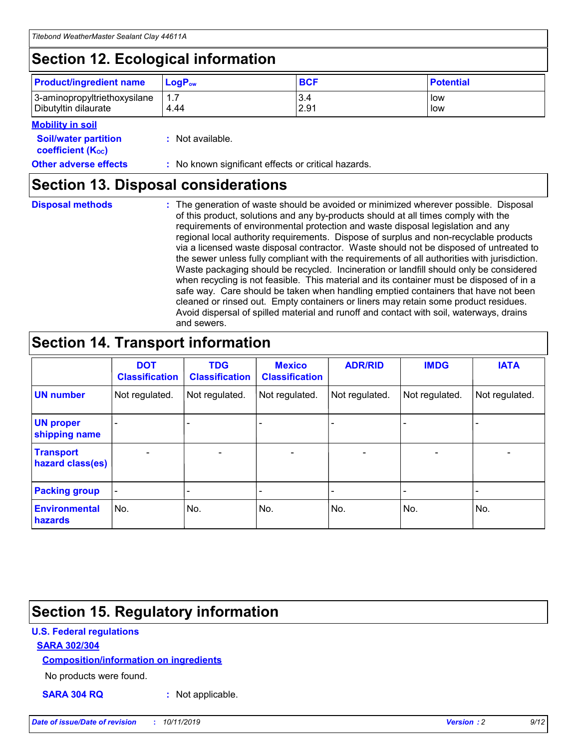## **Section 12. Ecological information**

| <b>Product/ingredient name</b> | $LoaPow$ | <b>BCF</b> | <b>Potential</b> |
|--------------------------------|----------|------------|------------------|
| 3-aminopropyltriethoxysilane   | 1.7      | 3.4        | low              |
| Dibutyltin dilaurate           | 4.44     | 2.91       | low              |

#### **Mobility in soil**

| <b>Soil/water partition</b><br>coefficient (K <sub>oc</sub> ) | : Not available.                                    |
|---------------------------------------------------------------|-----------------------------------------------------|
| <b>Other adverse effects</b>                                  | : No known significant effects or critical hazards. |

### **Section 13. Disposal considerations**

**Disposal methods :**

The generation of waste should be avoided or minimized wherever possible. Disposal of this product, solutions and any by-products should at all times comply with the requirements of environmental protection and waste disposal legislation and any regional local authority requirements. Dispose of surplus and non-recyclable products via a licensed waste disposal contractor. Waste should not be disposed of untreated to the sewer unless fully compliant with the requirements of all authorities with jurisdiction. Waste packaging should be recycled. Incineration or landfill should only be considered when recycling is not feasible. This material and its container must be disposed of in a safe way. Care should be taken when handling emptied containers that have not been cleaned or rinsed out. Empty containers or liners may retain some product residues. Avoid dispersal of spilled material and runoff and contact with soil, waterways, drains and sewers.

## **Section 14. Transport information**

|                                      | <b>DOT</b><br><b>Classification</b> | <b>TDG</b><br><b>Classification</b> | <b>Mexico</b><br><b>Classification</b> | <b>ADR/RID</b>           | <b>IMDG</b>     | <b>IATA</b>              |
|--------------------------------------|-------------------------------------|-------------------------------------|----------------------------------------|--------------------------|-----------------|--------------------------|
| <b>UN number</b>                     | Not regulated.                      | Not regulated.                      | Not regulated.                         | Not regulated.           | Not regulated.  | Not regulated.           |
| <b>UN proper</b><br>shipping name    | $\qquad \qquad \blacksquare$        |                                     |                                        |                          |                 |                          |
| <b>Transport</b><br>hazard class(es) | $\overline{\phantom{0}}$            | $\qquad \qquad$                     | $\qquad \qquad$                        | $\overline{\phantom{a}}$ | $\qquad \qquad$ | $\overline{\phantom{0}}$ |
| <b>Packing group</b>                 | $\overline{\phantom{a}}$            | -                                   |                                        |                          |                 |                          |
| <b>Environmental</b><br>hazards      | No.                                 | No.                                 | No.                                    | No.                      | No.             | No.                      |

## **Section 15. Regulatory information**

#### **U.S. Federal regulations**

#### **SARA 302/304**

#### **Composition/information on ingredients**

No products were found.

**SARA 304 RQ :** Not applicable.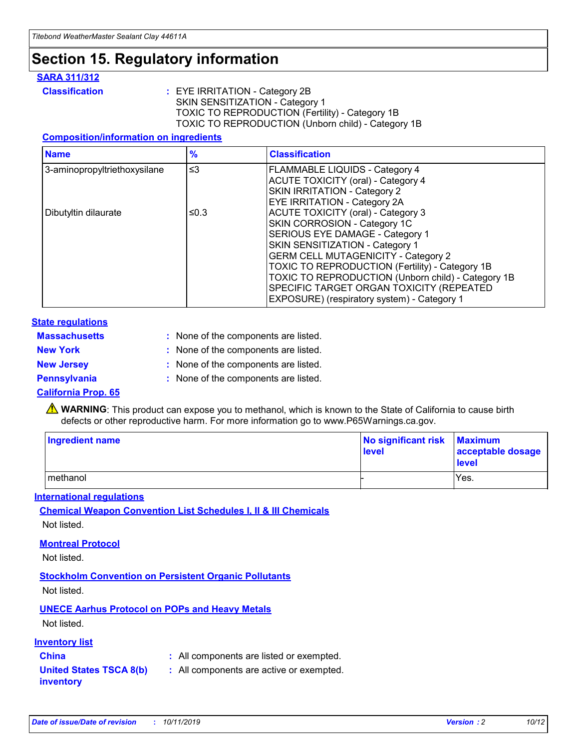## **Section 15. Regulatory information**

#### **SARA 311/312**

**Classification :** EYE IRRITATION - Category 2B SKIN SENSITIZATION - Category 1 TOXIC TO REPRODUCTION (Fertility) - Category 1B TOXIC TO REPRODUCTION (Unborn child) - Category 1B

#### **Composition/information on ingredients**

| <b>Name</b>                  | $\frac{9}{6}$ | <b>Classification</b>                                                                                            |
|------------------------------|---------------|------------------------------------------------------------------------------------------------------------------|
| 3-aminopropyltriethoxysilane | $\leq$ 3      | <b>FLAMMABLE LIQUIDS - Category 4</b><br><b>ACUTE TOXICITY (oral) - Category 4</b>                               |
|                              |               | SKIN IRRITATION - Category 2<br>EYE IRRITATION - Category 2A                                                     |
| Dibutyltin dilaurate         | ≤0.3          | ACUTE TOXICITY (oral) - Category 3<br>SKIN CORROSION - Category 1C                                               |
|                              |               | SERIOUS EYE DAMAGE - Category 1<br>SKIN SENSITIZATION - Category 1<br><b>GERM CELL MUTAGENICITY - Category 2</b> |
|                              |               | TOXIC TO REPRODUCTION (Fertility) - Category 1B<br>TOXIC TO REPRODUCTION (Unborn child) - Category 1B            |
|                              |               | SPECIFIC TARGET ORGAN TOXICITY (REPEATED<br>EXPOSURE) (respiratory system) - Category 1                          |

#### **State regulations**

| <b>Massachusetts</b> | : None of the components are listed. |
|----------------------|--------------------------------------|
| <b>New York</b>      | : None of the components are listed. |
| <b>New Jersey</b>    | : None of the components are listed. |
| <b>Pennsylvania</b>  | : None of the components are listed. |

#### **California Prop. 65**

**A** WARNING: This product can expose you to methanol, which is known to the State of California to cause birth defects or other reproductive harm. For more information go to www.P65Warnings.ca.gov.

| <b>Ingredient name</b> | No significant risk Maximum<br>level | acceptable dosage<br>level |
|------------------------|--------------------------------------|----------------------------|
| methanol               |                                      | Yes.                       |

#### **International regulations**

**Chemical Weapon Convention List Schedules I, II & III Chemicals** Not listed.

#### **Montreal Protocol**

Not listed.

**Stockholm Convention on Persistent Organic Pollutants**

Not listed.

### **UNECE Aarhus Protocol on POPs and Heavy Metals**

Not listed.

#### **Inventory list**

### **China :** All components are listed or exempted.

**United States TSCA 8(b) inventory :** All components are active or exempted.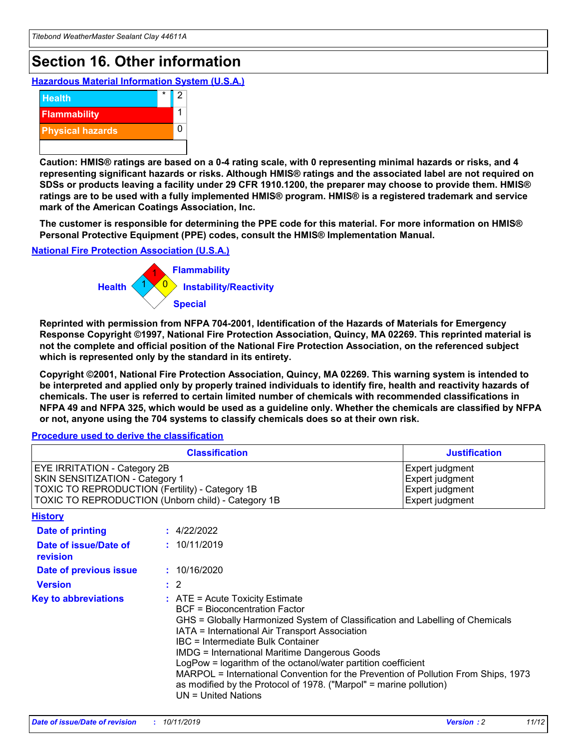## **Section 16. Other information**

**Hazardous Material Information System (U.S.A.)**



**Caution: HMIS® ratings are based on a 0-4 rating scale, with 0 representing minimal hazards or risks, and 4 representing significant hazards or risks. Although HMIS® ratings and the associated label are not required on SDSs or products leaving a facility under 29 CFR 1910.1200, the preparer may choose to provide them. HMIS® ratings are to be used with a fully implemented HMIS® program. HMIS® is a registered trademark and service mark of the American Coatings Association, Inc.**

**The customer is responsible for determining the PPE code for this material. For more information on HMIS® Personal Protective Equipment (PPE) codes, consult the HMIS® Implementation Manual.**

#### **National Fire Protection Association (U.S.A.)**



**Reprinted with permission from NFPA 704-2001, Identification of the Hazards of Materials for Emergency Response Copyright ©1997, National Fire Protection Association, Quincy, MA 02269. This reprinted material is not the complete and official position of the National Fire Protection Association, on the referenced subject which is represented only by the standard in its entirety.**

**Copyright ©2001, National Fire Protection Association, Quincy, MA 02269. This warning system is intended to be interpreted and applied only by properly trained individuals to identify fire, health and reactivity hazards of chemicals. The user is referred to certain limited number of chemicals with recommended classifications in NFPA 49 and NFPA 325, which would be used as a guideline only. Whether the chemicals are classified by NFPA or not, anyone using the 704 systems to classify chemicals does so at their own risk.**

#### **Procedure used to derive the classification**

| <b>Classification</b>                                                                                                                                                    |                                                                                                                                                                                                                                                                                                                                                                                                                                                                                                                                                               | <b>Justification</b>                                                     |
|--------------------------------------------------------------------------------------------------------------------------------------------------------------------------|---------------------------------------------------------------------------------------------------------------------------------------------------------------------------------------------------------------------------------------------------------------------------------------------------------------------------------------------------------------------------------------------------------------------------------------------------------------------------------------------------------------------------------------------------------------|--------------------------------------------------------------------------|
| EYE IRRITATION - Category 2B<br>SKIN SENSITIZATION - Category 1<br>TOXIC TO REPRODUCTION (Fertility) - Category 1B<br>TOXIC TO REPRODUCTION (Unborn child) - Category 1B |                                                                                                                                                                                                                                                                                                                                                                                                                                                                                                                                                               | Expert judgment<br>Expert judgment<br>Expert judgment<br>Expert judgment |
| <b>History</b>                                                                                                                                                           |                                                                                                                                                                                                                                                                                                                                                                                                                                                                                                                                                               |                                                                          |
| <b>Date of printing</b>                                                                                                                                                  | : 4/22/2022                                                                                                                                                                                                                                                                                                                                                                                                                                                                                                                                                   |                                                                          |
| Date of issue/Date of<br>revision                                                                                                                                        | : 10/11/2019                                                                                                                                                                                                                                                                                                                                                                                                                                                                                                                                                  |                                                                          |
| Date of previous issue                                                                                                                                                   | : 10/16/2020                                                                                                                                                                                                                                                                                                                                                                                                                                                                                                                                                  |                                                                          |
| <b>Version</b>                                                                                                                                                           | $\therefore$ 2                                                                                                                                                                                                                                                                                                                                                                                                                                                                                                                                                |                                                                          |
| <b>Key to abbreviations</b>                                                                                                                                              | $:$ ATE = Acute Toxicity Estimate<br><b>BCF</b> = Bioconcentration Factor<br>GHS = Globally Harmonized System of Classification and Labelling of Chemicals<br>IATA = International Air Transport Association<br>IBC = Intermediate Bulk Container<br><b>IMDG = International Maritime Dangerous Goods</b><br>LogPow = logarithm of the octanol/water partition coefficient<br>MARPOL = International Convention for the Prevention of Pollution From Ships, 1973<br>as modified by the Protocol of 1978. ("Marpol" = marine pollution)<br>UN = United Nations |                                                                          |